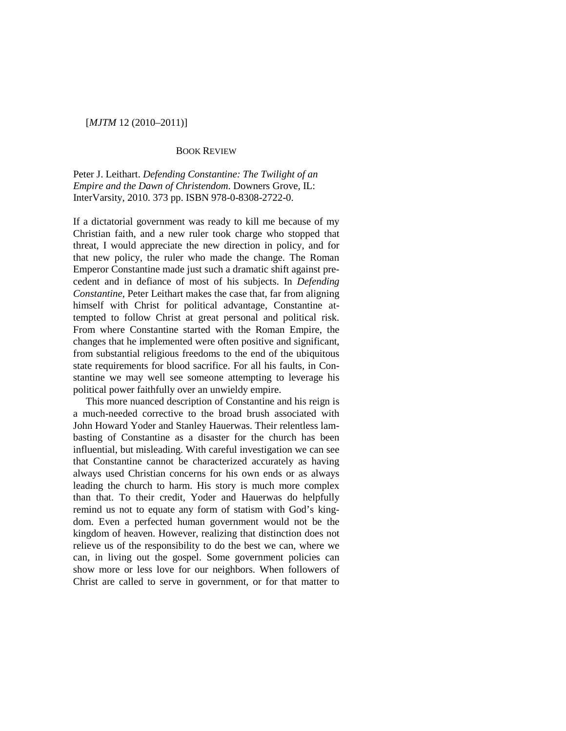## [*MJTM* 12 (2010–2011)]

## BOOK REVIEW

Peter J. Leithart. *Defending Constantine: The Twilight of an Empire and the Dawn of Christendom*. Downers Grove, IL: InterVarsity, 2010. 373 pp. ISBN 978-0-8308-2722-0.

If a dictatorial government was ready to kill me because of my Christian faith, and a new ruler took charge who stopped that threat, I would appreciate the new direction in policy, and for that new policy, the ruler who made the change. The Roman Emperor Constantine made just such a dramatic shift against precedent and in defiance of most of his subjects. In *Defending Constantine*, Peter Leithart makes the case that, far from aligning himself with Christ for political advantage, Constantine attempted to follow Christ at great personal and political risk. From where Constantine started with the Roman Empire, the changes that he implemented were often positive and significant, from substantial religious freedoms to the end of the ubiquitous state requirements for blood sacrifice. For all his faults, in Constantine we may well see someone attempting to leverage his political power faithfully over an unwieldy empire.

This more nuanced description of Constantine and his reign is a much-needed corrective to the broad brush associated with John Howard Yoder and Stanley Hauerwas. Their relentless lambasting of Constantine as a disaster for the church has been influential, but misleading. With careful investigation we can see that Constantine cannot be characterized accurately as having always used Christian concerns for his own ends or as always leading the church to harm. His story is much more complex than that. To their credit, Yoder and Hauerwas do helpfully remind us not to equate any form of statism with God's kingdom. Even a perfected human government would not be the kingdom of heaven. However, realizing that distinction does not relieve us of the responsibility to do the best we can, where we can, in living out the gospel. Some government policies can show more or less love for our neighbors. When followers of Christ are called to serve in government, or for that matter to